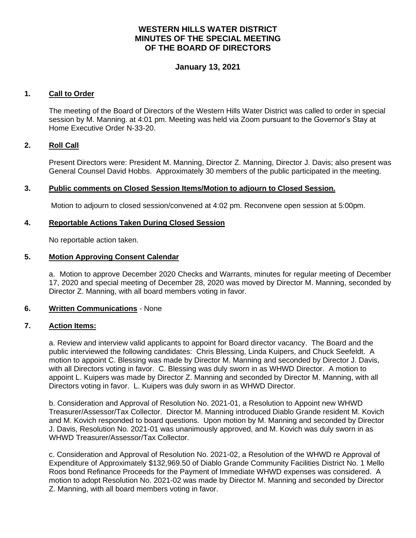# **WESTERN HILLS WATER DISTRICT MINUTES OF THE SPECIAL MEETING OF THE BOARD OF DIRECTORS**

# **January 13, 2021**

## **1. Call to Order**

The meeting of the Board of Directors of the Western Hills Water District was called to order in special session by M. Manning. at 4:01 pm. Meeting was held via Zoom pursuant to the Governor's Stay at Home Executive Order N-33-20.

## **2. Roll Call**

Present Directors were: President M. Manning, Director Z. Manning, Director J. Davis; also present was General Counsel David Hobbs. Approximately 30 members of the public participated in the meeting.

## **3. Public comments on Closed Session Items/Motion to adjourn to Closed Session.**

Motion to adjourn to closed session/convened at 4:02 pm. Reconvene open session at 5:00pm.

### **4. Reportable Actions Taken During Closed Session**

No reportable action taken.

## **5. Motion Approving Consent Calendar**

a. Motion to approve December 2020 Checks and Warrants, minutes for regular meeting of December 17, 2020 and special meeting of December 28, 2020 was moved by Director M. Manning, seconded by Director Z. Manning, with all board members voting in favor.

### **6. Written Communications** - None

## **7. Action Items:**

a. Review and interview valid applicants to appoint for Board director vacancy. The Board and the public interviewed the following candidates: Chris Blessing, Linda Kuipers, and Chuck Seefeldt. A motion to appoint C. Blessing was made by Director M. Manning and seconded by Director J. Davis, with all Directors voting in favor. C. Blessing was duly sworn in as WHWD Director. A motion to appoint L. Kuipers was made by Director Z. Manning and seconded by Director M. Manning, with all Directors voting in favor. L. Kuipers was duly sworn in as WHWD Director.

b. Consideration and Approval of Resolution No. 2021-01, a Resolution to Appoint new WHWD Treasurer/Assessor/Tax Collector. Director M. Manning introduced Diablo Grande resident M. Kovich and M. Kovich responded to board questions. Upon motion by M. Manning and seconded by Director J. Davis, Resolution No. 2021-01 was unanimously approved, and M. Kovich was duly sworn in as WHWD Treasurer/Assessor/Tax Collector.

c. Consideration and Approval of Resolution No. 2021-02, a Resolution of the WHWD re Approval of Expenditure of Approximately \$132,969.50 of Diablo Grande Community Facilities District No. 1 Mello Roos bond Refinance Proceeds for the Payment of Immediate WHWD expenses was considered. A motion to adopt Resolution No. 2021-02 was made by Director M. Manning and seconded by Director Z. Manning, with all board members voting in favor.